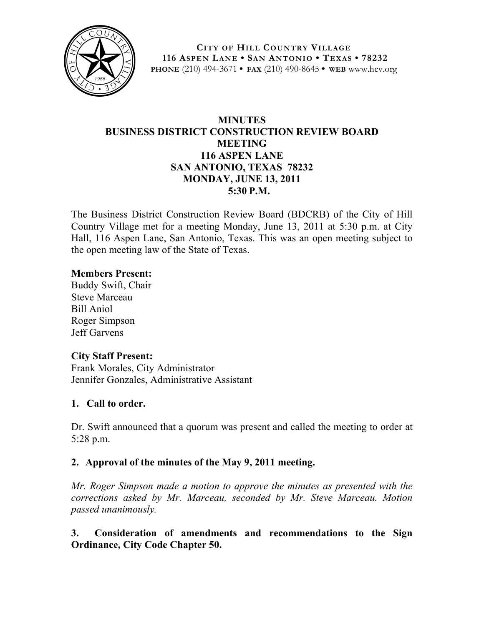

**CITY OF HILL COUNTRY VILLAGE 116 ASPEN LANE • SAN ANTONIO • TEXAS • 78232 PHONE** (210) 494-3671 **• FAX** (210) 490-8645 **• WEB** www.hcv.org

# **MINUTES BUSINESS DISTRICT CONSTRUCTION REVIEW BOARD MEETING 116 ASPEN LANE SAN ANTONIO, TEXAS 78232 MONDAY, JUNE 13, 2011 5:30 P.M.**

The Business District Construction Review Board (BDCRB) of the City of Hill Country Village met for a meeting Monday, June 13, 2011 at 5:30 p.m. at City Hall, 116 Aspen Lane, San Antonio, Texas. This was an open meeting subject to the open meeting law of the State of Texas.

#### **Members Present:**

Buddy Swift, Chair Steve Marceau Bill Aniol Roger Simpson Jeff Garvens

#### **City Staff Present:**

Frank Morales, City Administrator Jennifer Gonzales, Administrative Assistant

## **1. Call to order.**

Dr. Swift announced that a quorum was present and called the meeting to order at 5:28 p.m.

## **2. Approval of the minutes of the May 9, 2011 meeting.**

*Mr. Roger Simpson made a motion to approve the minutes as presented with the corrections asked by Mr. Marceau, seconded by Mr. Steve Marceau. Motion passed unanimously.*

**3. Consideration of amendments and recommendations to the Sign Ordinance, City Code Chapter 50.**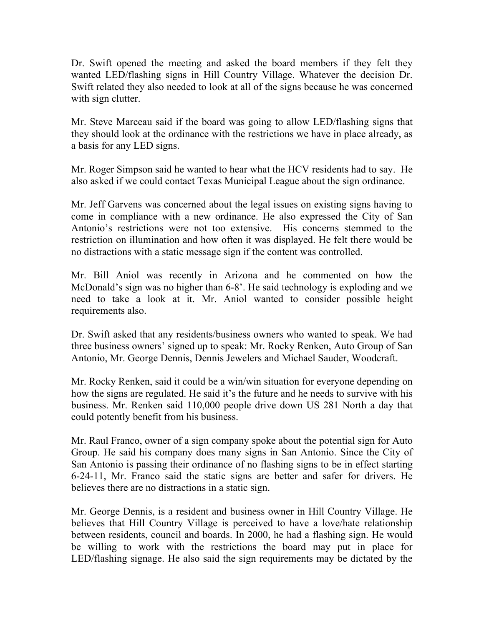Dr. Swift opened the meeting and asked the board members if they felt they wanted LED/flashing signs in Hill Country Village. Whatever the decision Dr. Swift related they also needed to look at all of the signs because he was concerned with sign clutter.

Mr. Steve Marceau said if the board was going to allow LED/flashing signs that they should look at the ordinance with the restrictions we have in place already, as a basis for any LED signs.

Mr. Roger Simpson said he wanted to hear what the HCV residents had to say. He also asked if we could contact Texas Municipal League about the sign ordinance.

Mr. Jeff Garvens was concerned about the legal issues on existing signs having to come in compliance with a new ordinance. He also expressed the City of San Antonio's restrictions were not too extensive. His concerns stemmed to the restriction on illumination and how often it was displayed. He felt there would be no distractions with a static message sign if the content was controlled.

Mr. Bill Aniol was recently in Arizona and he commented on how the McDonald's sign was no higher than 6-8'. He said technology is exploding and we need to take a look at it. Mr. Aniol wanted to consider possible height requirements also.

Dr. Swift asked that any residents/business owners who wanted to speak. We had three business owners' signed up to speak: Mr. Rocky Renken, Auto Group of San Antonio, Mr. George Dennis, Dennis Jewelers and Michael Sauder, Woodcraft.

Mr. Rocky Renken, said it could be a win/win situation for everyone depending on how the signs are regulated. He said it's the future and he needs to survive with his business. Mr. Renken said 110,000 people drive down US 281 North a day that could potently benefit from his business.

Mr. Raul Franco, owner of a sign company spoke about the potential sign for Auto Group. He said his company does many signs in San Antonio. Since the City of San Antonio is passing their ordinance of no flashing signs to be in effect starting 6-24-11, Mr. Franco said the static signs are better and safer for drivers. He believes there are no distractions in a static sign.

Mr. George Dennis, is a resident and business owner in Hill Country Village. He believes that Hill Country Village is perceived to have a love/hate relationship between residents, council and boards. In 2000, he had a flashing sign. He would be willing to work with the restrictions the board may put in place for LED/flashing signage. He also said the sign requirements may be dictated by the